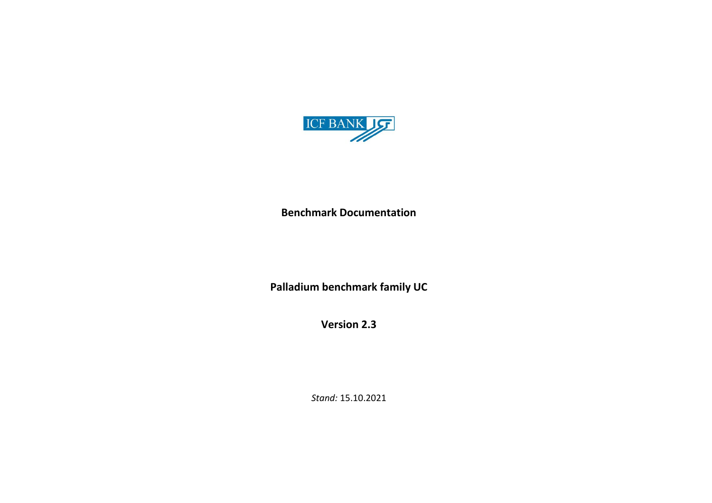

**Benchmark Documentation**

**Palladium benchmark family UC**

**Version 2.3**

*Stand:* 15.10.2021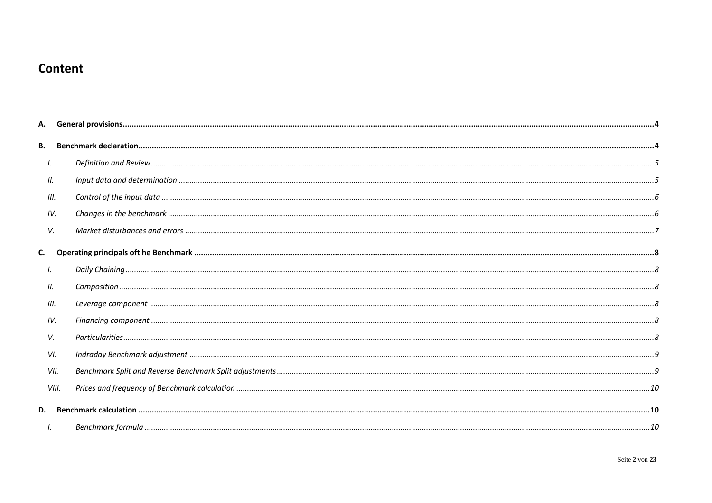# Content

| В.   |       |  |
|------|-------|--|
| Ι.   |       |  |
| П.   |       |  |
| III. |       |  |
| IV.  |       |  |
| V.   |       |  |
| C.   |       |  |
| Ι.   |       |  |
| 11.  |       |  |
| III. |       |  |
| IV.  |       |  |
| V.   |       |  |
| VI.  |       |  |
|      | VII.  |  |
|      | VIII. |  |
| D.   |       |  |
|      |       |  |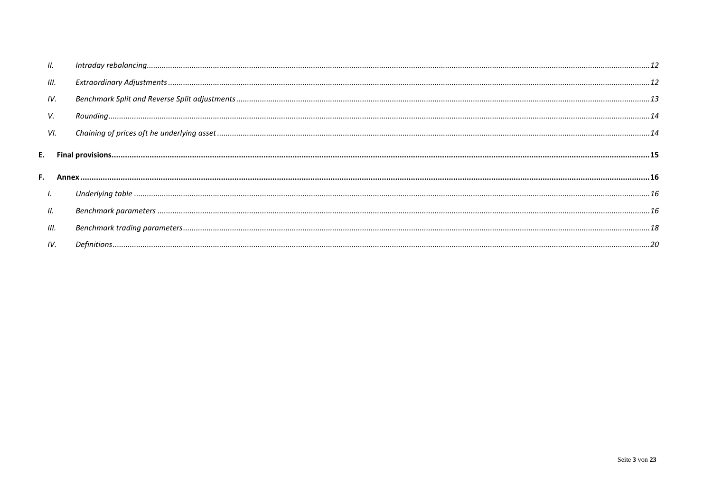| Ш.   |  |
|------|--|
| III. |  |
| IV.  |  |
| V.   |  |
| VI.  |  |
|      |  |
|      |  |
| Ι.   |  |
| Ш.   |  |
| III. |  |
| IV.  |  |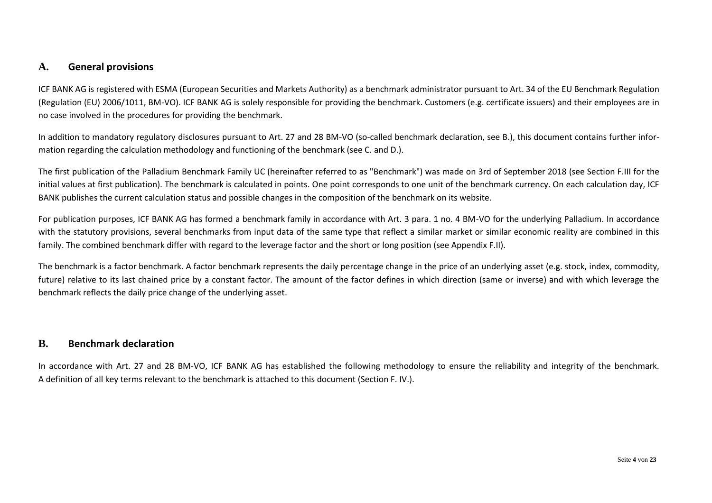### <span id="page-3-0"></span>**A. General provisions**

ICF BANK AG is registered with ESMA (European Securities and Markets Authority) as a benchmark administrator pursuant to Art. 34 of the EU Benchmark Regulation (Regulation (EU) 2006/1011, BM-VO). ICF BANK AG is solely responsible for providing the benchmark. Customers (e.g. certificate issuers) and their employees are in no case involved in the procedures for providing the benchmark.

In addition to mandatory regulatory disclosures pursuant to Art. 27 and 28 BM-VO (so-called benchmark declaration, see B.), this document contains further information regarding the calculation methodology and functioning of the benchmark (see C. and D.).

The first publication of the Palladium Benchmark Family UC (hereinafter referred to as "Benchmark") was made on 3rd of September 2018 (see Section F.III for the initial values at first publication). The benchmark is calculated in points. One point corresponds to one unit of the benchmark currency. On each calculation day, ICF BANK publishes the current calculation status and possible changes in the composition of the benchmark on its website.

For publication purposes, ICF BANK AG has formed a benchmark family in accordance with Art. 3 para. 1 no. 4 BM-VO for the underlying Palladium. In accordance with the statutory provisions, several benchmarks from input data of the same type that reflect a similar market or similar economic reality are combined in this family. The combined benchmark differ with regard to the leverage factor and the short or long position (see Appendix F.II).

The benchmark is a factor benchmark. A factor benchmark represents the daily percentage change in the price of an underlying asset (e.g. stock, index, commodity, future) relative to its last chained price by a constant factor. The amount of the factor defines in which direction (same or inverse) and with which leverage the benchmark reflects the daily price change of the underlying asset.

### <span id="page-3-1"></span>**B. Benchmark declaration**

In accordance with Art. 27 and 28 BM-VO, ICF BANK AG has established the following methodology to ensure the reliability and integrity of the benchmark. A definition of all key terms relevant to the benchmark is attached to this document (Section F. IV.).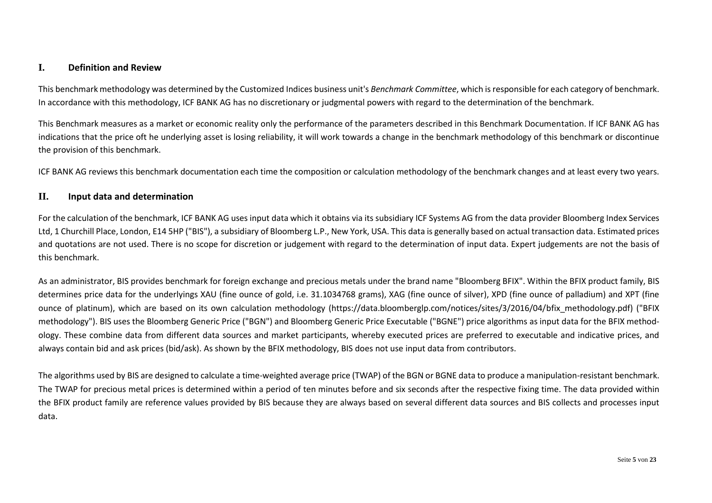### <span id="page-4-0"></span>**I. Definition and Review**

This benchmark methodology was determined by the Customized Indices business unit's *Benchmark Committee*, which is responsible for each category of benchmark. In accordance with this methodology, ICF BANK AG has no discretionary or judgmental powers with regard to the determination of the benchmark.

This Benchmark measures as a market or economic reality only the performance of the parameters described in this Benchmark Documentation. If ICF BANK AG has indications that the price oft he underlying asset is losing reliability, it will work towards a change in the benchmark methodology of this benchmark or discontinue the provision of this benchmark.

ICF BANK AG reviews this benchmark documentation each time the composition or calculation methodology of the benchmark changes and at least every two years.

#### <span id="page-4-1"></span>**II. Input data and determination**

For the calculation of the benchmark, ICF BANK AG uses input data which it obtains via its subsidiary ICF Systems AG from the data provider Bloomberg Index Services Ltd, 1 Churchill Place, London, E14 5HP ("BIS"), a subsidiary of Bloomberg L.P., New York, USA. This data is generally based on actual transaction data. Estimated prices and quotations are not used. There is no scope for discretion or judgement with regard to the determination of input data. Expert judgements are not the basis of this benchmark.

As an administrator, BIS provides benchmark for foreign exchange and precious metals under the brand name "Bloomberg BFIX". Within the BFIX product family, BIS determines price data for the underlyings XAU (fine ounce of gold, i.e. 31.1034768 grams), XAG (fine ounce of silver), XPD (fine ounce of palladium) and XPT (fine ounce of platinum), which are based on its own calculation methodology (https://data.bloomberglp.com/notices/sites/3/2016/04/bfix\_methodology.pdf) ("BFIX methodology"). BIS uses the Bloomberg Generic Price ("BGN") and Bloomberg Generic Price Executable ("BGNE") price algorithms as input data for the BFIX methodology. These combine data from different data sources and market participants, whereby executed prices are preferred to executable and indicative prices, and always contain bid and ask prices (bid/ask). As shown by the BFIX methodology, BIS does not use input data from contributors.

The algorithms used by BIS are designed to calculate a time-weighted average price (TWAP) of the BGN or BGNE data to produce a manipulation-resistant benchmark. The TWAP for precious metal prices is determined within a period of ten minutes before and six seconds after the respective fixing time. The data provided within the BFIX product family are reference values provided by BIS because they are always based on several different data sources and BIS collects and processes input data.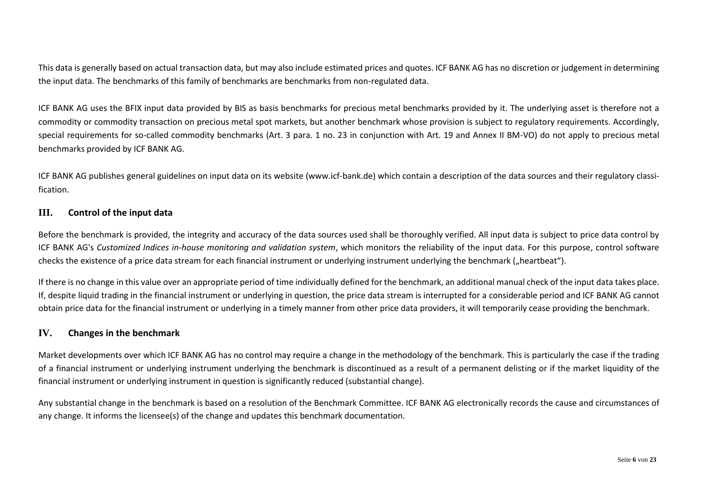This data is generally based on actual transaction data, but may also include estimated prices and quotes. ICF BANK AG has no discretion or judgement in determining the input data. The benchmarks of this family of benchmarks are benchmarks from non-regulated data.

ICF BANK AG uses the BFIX input data provided by BIS as basis benchmarks for precious metal benchmarks provided by it. The underlying asset is therefore not a commodity or commodity transaction on precious metal spot markets, but another benchmark whose provision is subject to regulatory requirements. Accordingly, special requirements for so-called commodity benchmarks (Art. 3 para. 1 no. 23 in conjunction with Art. 19 and Annex II BM-VO) do not apply to precious metal benchmarks provided by ICF BANK AG.

ICF BANK AG publishes general guidelines on input data on its website [\(www.icf-bank.de\)](http://www.icf-bank.de/) which contain a description of the data sources and their regulatory classification.

### <span id="page-5-0"></span>**III. Control of the input data**

Before the benchmark is provided, the integrity and accuracy of the data sources used shall be thoroughly verified. All input data is subject to price data control by ICF BANK AG's *Customized Indices in-house monitoring and validation system*, which monitors the reliability of the input data. For this purpose, control software checks the existence of a price data stream for each financial instrument or underlying instrument underlying the benchmark ("heartbeat").

If there is no change in this value over an appropriate period of time individually defined for the benchmark, an additional manual check of the input data takes place. If, despite liquid trading in the financial instrument or underlying in question, the price data stream is interrupted for a considerable period and ICF BANK AG cannot obtain price data for the financial instrument or underlying in a timely manner from other price data providers, it will temporarily cease providing the benchmark.

#### <span id="page-5-1"></span>**IV. Changes in the benchmark**

Market developments over which ICF BANK AG has no control may require a change in the methodology of the benchmark. This is particularly the case if the trading of a financial instrument or underlying instrument underlying the benchmark is discontinued as a result of a permanent delisting or if the market liquidity of the financial instrument or underlying instrument in question is significantly reduced (substantial change).

Any substantial change in the benchmark is based on a resolution of the Benchmark Committee. ICF BANK AG electronically records the cause and circumstances of any change. It informs the licensee(s) of the change and updates this benchmark documentation.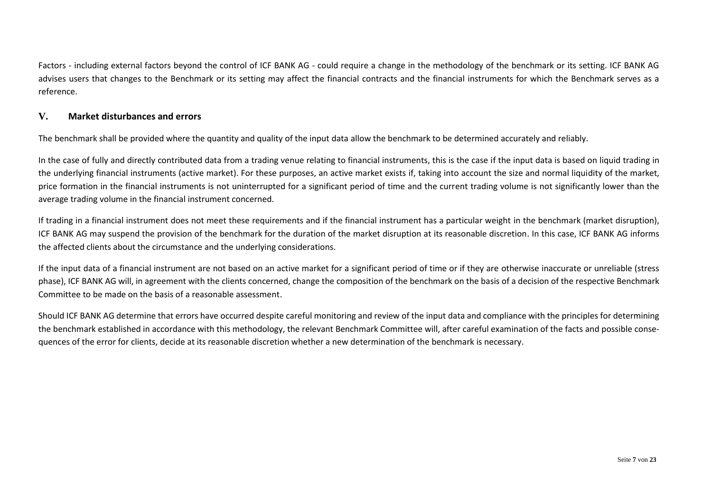Factors - including external factors beyond the control of ICF BANK AG - could require a change in the methodology of the benchmark or its setting. ICF BANK AG advises users that changes to the Benchmark or its setting may affect the financial contracts and the financial instruments for which the Benchmark serves as a reference.

### <span id="page-6-0"></span>**V. Market disturbances and errors**

The benchmark shall be provided where the quantity and quality of the input data allow the benchmark to be determined accurately and reliably.

In the case of fully and directly contributed data from a trading venue relating to financial instruments, this is the case if the input data is based on liquid trading in the underlying financial instruments (active market). For these purposes, an active market exists if, taking into account the size and normal liquidity of the market, price formation in the financial instruments is not uninterrupted for a significant period of time and the current trading volume is not significantly lower than the average trading volume in the financial instrument concerned.

If trading in a financial instrument does not meet these requirements and if the financial instrument has a particular weight in the benchmark (market disruption), ICF BANK AG may suspend the provision of the benchmark for the duration of the market disruption at its reasonable discretion. In this case, ICF BANK AG informs the affected clients about the circumstance and the underlying considerations.

If the input data of a financial instrument are not based on an active market for a significant period of time or if they are otherwise inaccurate or unreliable (stress phase), ICF BANK AG will, in agreement with the clients concerned, change the composition of the benchmark on the basis of a decision of the respective Benchmark Committee to be made on the basis of a reasonable assessment.

Should ICF BANK AG determine that errors have occurred despite careful monitoring and review of the input data and compliance with the principles for determining the benchmark established in accordance with this methodology, the relevant Benchmark Committee will, after careful examination of the facts and possible consequences of the error for clients, decide at its reasonable discretion whether a new determination of the benchmark is necessary.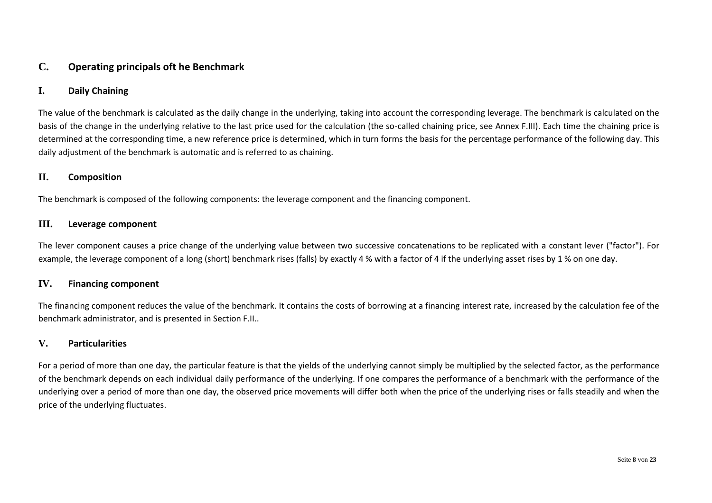### <span id="page-7-0"></span>**C. Operating principals oft he Benchmark**

### <span id="page-7-1"></span>**I. Daily Chaining**

The value of the benchmark is calculated as the daily change in the underlying, taking into account the corresponding leverage. The benchmark is calculated on the basis of the change in the underlying relative to the last price used for the calculation (the so-called chaining price, see Annex F.III). Each time the chaining price is determined at the corresponding time, a new reference price is determined, which in turn forms the basis for the percentage performance of the following day. This daily adjustment of the benchmark is automatic and is referred to as chaining.

#### <span id="page-7-2"></span>**II. Composition**

The benchmark is composed of the following components: the leverage component and the financing component.

#### <span id="page-7-3"></span>**III. Leverage component**

The lever component causes a price change of the underlying value between two successive concatenations to be replicated with a constant lever ("factor"). For example, the leverage component of a long (short) benchmark rises (falls) by exactly 4 % with a factor of 4 if the underlying asset rises by 1 % on one day.

#### <span id="page-7-4"></span>**IV. Financing component**

The financing component reduces the value of the benchmark. It contains the costs of borrowing at a financing interest rate, increased by the calculation fee of the benchmark administrator, and is presented in Section F.II..

### <span id="page-7-5"></span>**V. Particularities**

For a period of more than one day, the particular feature is that the yields of the underlying cannot simply be multiplied by the selected factor, as the performance of the benchmark depends on each individual daily performance of the underlying. If one compares the performance of a benchmark with the performance of the underlying over a period of more than one day, the observed price movements will differ both when the price of the underlying rises or falls steadily and when the price of the underlying fluctuates.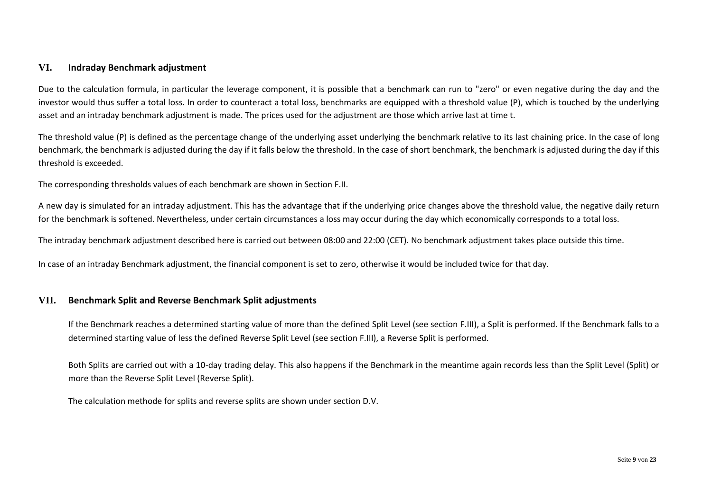### <span id="page-8-0"></span>**VI. Indraday Benchmark adjustment**

Due to the calculation formula, in particular the leverage component, it is possible that a benchmark can run to "zero" or even negative during the day and the investor would thus suffer a total loss. In order to counteract a total loss, benchmarks are equipped with a threshold value (P), which is touched by the underlying asset and an intraday benchmark adjustment is made. The prices used for the adjustment are those which arrive last at time t.

The threshold value (P) is defined as the percentage change of the underlying asset underlying the benchmark relative to its last chaining price. In the case of long benchmark, the benchmark is adjusted during the day if it falls below the threshold. In the case of short benchmark, the benchmark is adjusted during the day if this threshold is exceeded.

The corresponding thresholds values of each benchmark are shown in Section F.II.

A new day is simulated for an intraday adjustment. This has the advantage that if the underlying price changes above the threshold value, the negative daily return for the benchmark is softened. Nevertheless, under certain circumstances a loss may occur during the day which economically corresponds to a total loss.

The intraday benchmark adjustment described here is carried out between 08:00 and 22:00 (CET). No benchmark adjustment takes place outside this time.

In case of an intraday Benchmark adjustment, the financial component is set to zero, otherwise it would be included twice for that day.

#### <span id="page-8-1"></span>**VII. Benchmark Split and Reverse Benchmark Split adjustments**

If the Benchmark reaches a determined starting value of more than the defined Split Level (see section F.III), a Split is performed. If the Benchmark falls to a determined starting value of less the defined Reverse Split Level (see section F.III), a Reverse Split is performed.

Both Splits are carried out with a 10-day trading delay. This also happens if the Benchmark in the meantime again records less than the Split Level (Split) or more than the Reverse Split Level (Reverse Split).

The calculation methode for splits and reverse splits are shown under section D.V.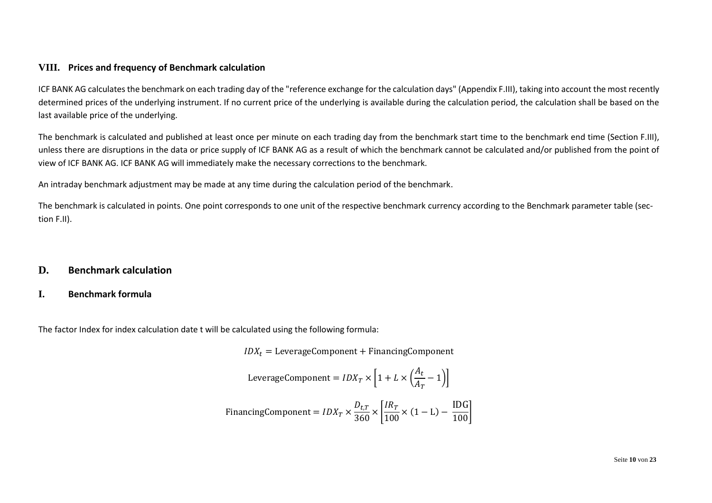### <span id="page-9-0"></span>**VIII. Prices and frequency of Benchmark calculation**

ICF BANK AG calculates the benchmark on each trading day of the "reference exchange for the calculation days" (Appendix F.III), taking into account the most recently determined prices of the underlying instrument. If no current price of the underlying is available during the calculation period, the calculation shall be based on the last available price of the underlying.

The benchmark is calculated and published at least once per minute on each trading day from the benchmark start time to the benchmark end time (Section F.III), unless there are disruptions in the data or price supply of ICF BANK AG as a result of which the benchmark cannot be calculated and/or published from the point of view of ICF BANK AG. ICF BANK AG will immediately make the necessary corrections to the benchmark.

An intraday benchmark adjustment may be made at any time during the calculation period of the benchmark.

The benchmark is calculated in points. One point corresponds to one unit of the respective benchmark currency according to the Benchmark parameter table (section F.II).

### <span id="page-9-1"></span>**D. Benchmark calculation**

### <span id="page-9-2"></span>**I. Benchmark formula**

The factor Index for index calculation date t will be calculated using the following formula:

 $IDX_t = \text{LeverageComponent} + \text{Financial Company}$ 

LeverageComponent = 
$$
IDX_T \times \left[1 + L \times \left(\frac{A_t}{A_T} - 1\right)\right]
$$

\nFinancial  
\nFinancingComponent =  $IDX_T \times \frac{D_{t,T}}{360} \times \left[\frac{IR_T}{100} \times (1 - L) - \frac{IDG}{100}\right]$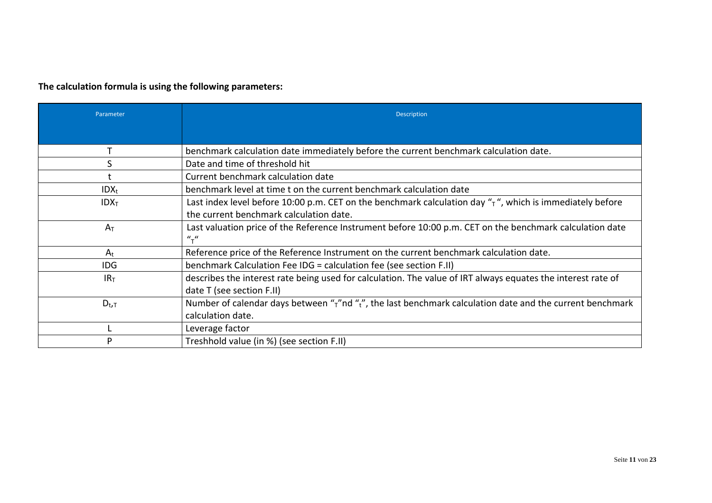## **The calculation formula is using the following parameters:**

| Parameter        | <b>Description</b>                                                                                                     |
|------------------|------------------------------------------------------------------------------------------------------------------------|
|                  |                                                                                                                        |
|                  | benchmark calculation date immediately before the current benchmark calculation date.                                  |
| S                | Date and time of threshold hit                                                                                         |
|                  | Current benchmark calculation date                                                                                     |
| $IDX_t$          | benchmark level at time t on the current benchmark calculation date                                                    |
| IDX <sub>T</sub> | Last index level before 10:00 p.m. CET on the benchmark calculation day " $\tau$ ", which is immediately before        |
|                  | the current benchmark calculation date.                                                                                |
| $A_T$            | Last valuation price of the Reference Instrument before 10:00 p.m. CET on the benchmark calculation date               |
|                  | $u_{\tau}$                                                                                                             |
| $A_t$            | Reference price of the Reference Instrument on the current benchmark calculation date.                                 |
| <b>IDG</b>       | benchmark Calculation Fee IDG = calculation fee (see section F.II)                                                     |
| IR <sub>T</sub>  | describes the interest rate being used for calculation. The value of IRT always equates the interest rate of           |
|                  | date T (see section F.II)                                                                                              |
| $D_{t,T}$        | Number of calendar days between " $\tau$ "nd " $\tau$ ", the last benchmark calculation date and the current benchmark |
|                  | calculation date.                                                                                                      |
|                  | Leverage factor                                                                                                        |
| D                | Treshhold value (in %) (see section F.II)                                                                              |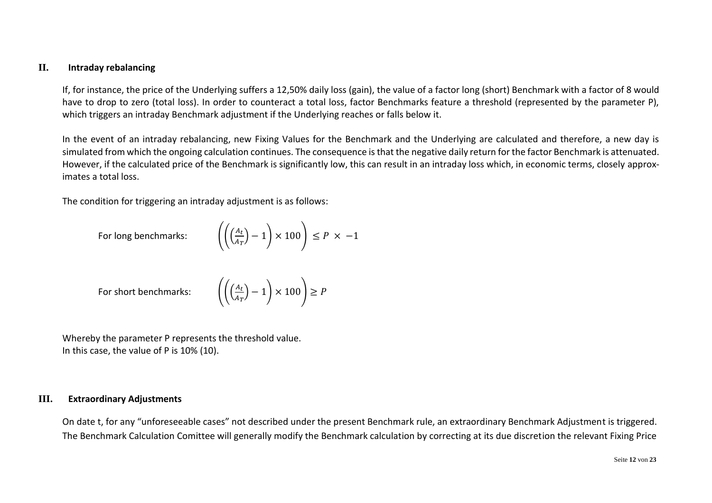### <span id="page-11-0"></span>**II. Intraday rebalancing**

If, for instance, the price of the Underlying suffers a 12,50% daily loss (gain), the value of a factor long (short) Benchmark with a factor of 8 would have to drop to zero (total loss). In order to counteract a total loss, factor Benchmarks feature a threshold (represented by the parameter P), which triggers an intraday Benchmark adjustment if the Underlying reaches or falls below it.

In the event of an intraday rebalancing, new Fixing Values for the Benchmark and the Underlying are calculated and therefore, a new day is simulated from which the ongoing calculation continues. The consequence is that the negative daily return for the factor Benchmark is attenuated. However, if the calculated price of the Benchmark is significantly low, this can result in an intraday loss which, in economic terms, closely approximates a total loss.

The condition for triggering an intraday adjustment is as follows:

For long benchmarks:

$$
\left( \left( \frac{A_t}{A_T} \right) - 1 \right) \times 100 \right) \le P \times -1
$$

For short benchmarks:

$$
\left(\frac{A_t}{A_T}\right) - 1\right) \times 100\left) \ge P
$$

Whereby the parameter P represents the threshold value. In this case, the value of P is 10% (10).

### <span id="page-11-1"></span>**III. Extraordinary Adjustments**

On date t, for any "unforeseeable cases" not described under the present Benchmark rule, an extraordinary Benchmark Adjustment is triggered. The Benchmark Calculation Comittee will generally modify the Benchmark calculation by correcting at its due discretion the relevant Fixing Price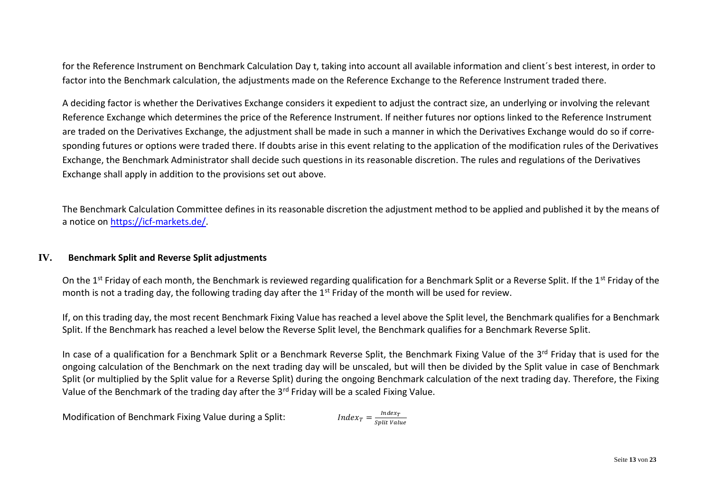for the Reference Instrument on Benchmark Calculation Day t, taking into account all available information and client´s best interest, in order to factor into the Benchmark calculation, the adjustments made on the Reference Exchange to the Reference Instrument traded there.

A deciding factor is whether the Derivatives Exchange considers it expedient to adjust the contract size, an underlying or involving the relevant Reference Exchange which determines the price of the Reference Instrument. If neither futures nor options linked to the Reference Instrument are traded on the Derivatives Exchange, the adjustment shall be made in such a manner in which the Derivatives Exchange would do so if corresponding futures or options were traded there. If doubts arise in this event relating to the application of the modification rules of the Derivatives Exchange, the Benchmark Administrator shall decide such questions in its reasonable discretion. The rules and regulations of the Derivatives Exchange shall apply in addition to the provisions set out above.

The Benchmark Calculation Committee defines in its reasonable discretion the adjustment method to be applied and published it by the means of a notice on [https://icf-markets.de/.](https://icf-markets.de/)

#### <span id="page-12-0"></span>**IV. Benchmark Split and Reverse Split adjustments**

On the 1<sup>st</sup> Friday of each month, the Benchmark is reviewed regarding qualification for a Benchmark Split or a Reverse Split. If the 1<sup>st</sup> Friday of the month is not a trading day, the following trading day after the  $1<sup>st</sup>$  Friday of the month will be used for review.

If, on this trading day, the most recent Benchmark Fixing Value has reached a level above the Split level, the Benchmark qualifies for a Benchmark Split. If the Benchmark has reached a level below the Reverse Split level, the Benchmark qualifies for a Benchmark Reverse Split.

In case of a qualification for a Benchmark Split or a Benchmark Reverse Split, the Benchmark Fixing Value of the 3rd Friday that is used for the ongoing calculation of the Benchmark on the next trading day will be unscaled, but will then be divided by the Split value in case of Benchmark Split (or multiplied by the Split value for a Reverse Split) during the ongoing Benchmark calculation of the next trading day. Therefore, the Fixing Value of the Benchmark of the trading day after the 3<sup>rd</sup> Friday will be a scaled Fixing Value.

Modification of Benchmark Fixing Value during a Split:

Index $_T$ Split Value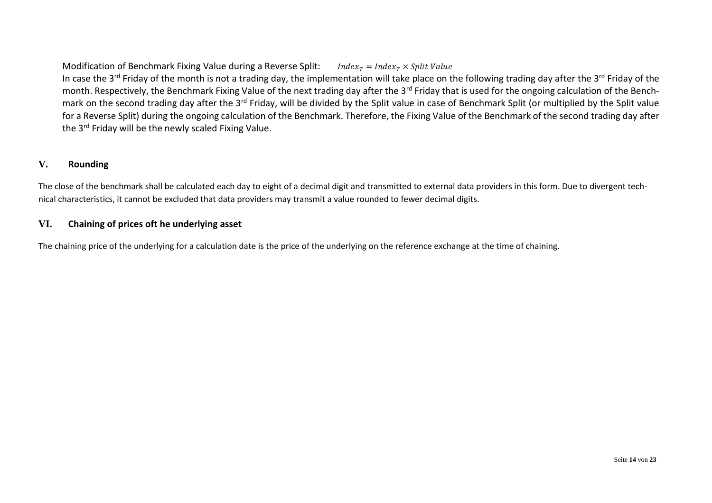Modification of Benchmark Fixing Value during a Reverse Split: Index<sub>r</sub> = Index<sub>r</sub>  $\times$  Split Value In case the 3<sup>rd</sup> Friday of the month is not a trading day, the implementation will take place on the following trading day after the 3<sup>rd</sup> Friday of the month. Respectively, the Benchmark Fixing Value of the next trading day after the 3<sup>rd</sup> Friday that is used for the ongoing calculation of the Benchmark on the second trading day after the 3<sup>rd</sup> Friday, will be divided by the Split value in case of Benchmark Split (or multiplied by the Split value for a Reverse Split) during the ongoing calculation of the Benchmark. Therefore, the Fixing Value of the Benchmark of the second trading day after the 3<sup>rd</sup> Friday will be the newly scaled Fixing Value.

### <span id="page-13-0"></span>**V. Rounding**

The close of the benchmark shall be calculated each day to eight of a decimal digit and transmitted to external data providers in this form. Due to divergent technical characteristics, it cannot be excluded that data providers may transmit a value rounded to fewer decimal digits.

### <span id="page-13-1"></span>**VI. Chaining of prices oft he underlying asset**

The chaining price of the underlying for a calculation date is the price of the underlying on the reference exchange at the time of chaining.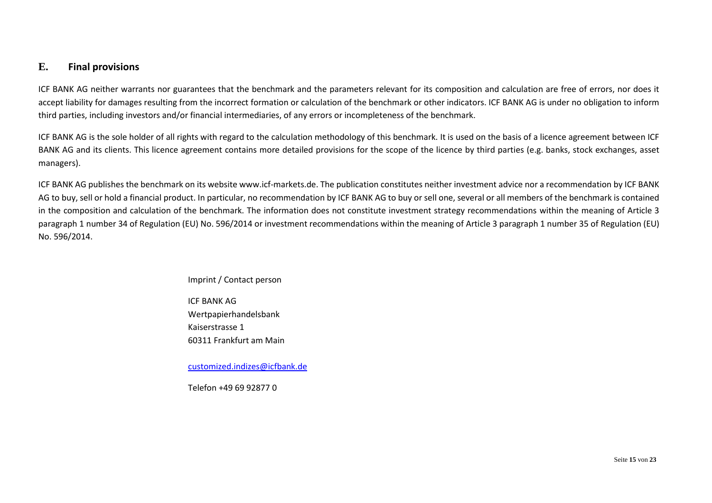### <span id="page-14-0"></span>**E. Final provisions**

ICF BANK AG neither warrants nor guarantees that the benchmark and the parameters relevant for its composition and calculation are free of errors, nor does it accept liability for damages resulting from the incorrect formation or calculation of the benchmark or other indicators. ICF BANK AG is under no obligation to inform third parties, including investors and/or financial intermediaries, of any errors or incompleteness of the benchmark.

ICF BANK AG is the sole holder of all rights with regard to the calculation methodology of this benchmark. It is used on the basis of a licence agreement between ICF BANK AG and its clients. This licence agreement contains more detailed provisions for the scope of the licence by third parties (e.g. banks, stock exchanges, asset managers).

ICF BANK AG publishes the benchmark on its website www.icf-markets.de. The publication constitutes neither investment advice nor a recommendation by ICF BANK AG to buy, sell or hold a financial product. In particular, no recommendation by ICF BANK AG to buy or sell one, several or all members of the benchmark is contained in the composition and calculation of the benchmark. The information does not constitute investment strategy recommendations within the meaning of Article 3 paragraph 1 number 34 of Regulation (EU) No. 596/2014 or investment recommendations within the meaning of Article 3 paragraph 1 number 35 of Regulation (EU) No. 596/2014.

#### Imprint / Contact person

ICF BANK AG Wertpapierhandelsbank Kaiserstrasse 1 60311 Frankfurt am Main

[customized.indizes@icfbank.de](mailto:customized.indizes@icfbank.de)

Telefon +49 69 92877 0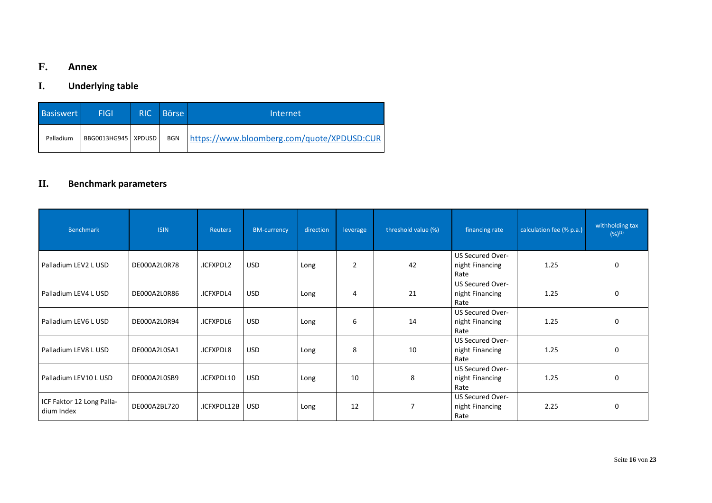## <span id="page-15-0"></span>**F. Annex**

## <span id="page-15-1"></span>**I. Underlying table**

| <b>Basiswert</b> | <b>FIGI</b>           | <b>RIC</b> | <b>Börse</b> | Internet                                   |
|------------------|-----------------------|------------|--------------|--------------------------------------------|
| Palladium        | BBG0013HG945   XPDUSD |            | <b>BGN</b>   | https://www.bloomberg.com/quote/XPDUSD:CUR |

## <span id="page-15-2"></span>**II. Benchmark parameters**

| <b>Benchmark</b>                        | <b>ISIN</b>  | <b>Reuters</b> | <b>BM-currency</b> | direction | leverage       | threshold value (%) | financing rate                                     | calculation fee (% p.a.) | withholding tax<br>$(%)^{(1)}$ |
|-----------------------------------------|--------------|----------------|--------------------|-----------|----------------|---------------------|----------------------------------------------------|--------------------------|--------------------------------|
| Palladium LEV2 L USD                    | DE000A2L0R78 | .ICFXPDL2      | <b>USD</b>         | Long      | $\overline{2}$ | 42                  | <b>US Secured Over-</b><br>night Financing<br>Rate | 1.25                     | $\Omega$                       |
| Palladium LEV4 L USD                    | DE000A2L0R86 | .ICFXPDL4      | <b>USD</b>         | Long      | 4              | 21                  | US Secured Over-<br>night Financing<br>Rate        | 1.25                     | $\Omega$                       |
| Palladium LEV6 L USD                    | DE000A2L0R94 | .ICFXPDL6      | <b>USD</b>         | Long      | 6              | 14                  | US Secured Over-<br>night Financing<br>Rate        | 1.25                     | $\Omega$                       |
| Palladium LEV8 L USD                    | DE000A2L0SA1 | .ICFXPDL8      | <b>USD</b>         | Long      | 8              | 10                  | US Secured Over-<br>night Financing<br>Rate        | 1.25                     | $\Omega$                       |
| Palladium LEV10 L USD                   | DE000A2L0SB9 | .ICFXPDL10     | <b>USD</b>         | Long      | 10             | 8                   | US Secured Over-<br>night Financing<br>Rate        | 1.25                     | 0                              |
| ICF Faktor 12 Long Palla-<br>dium Index | DE000A2BL720 | .ICFXPDL12B    | <b>USD</b>         | Long      | 12             | 7                   | US Secured Over-<br>night Financing<br>Rate        | 2.25                     | $\Omega$                       |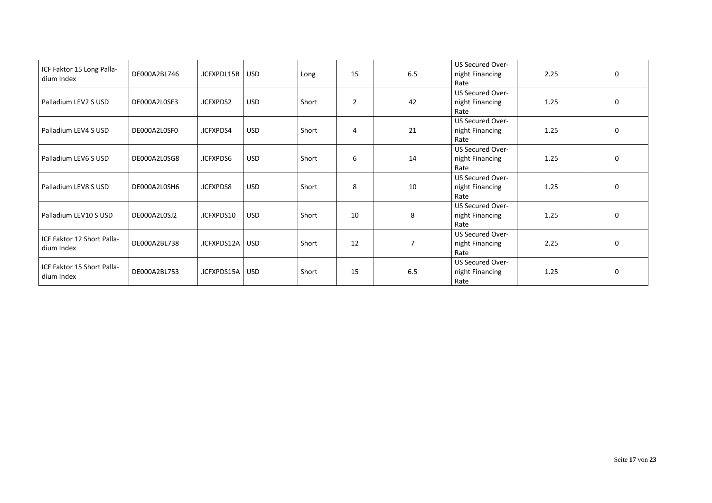| ICF Faktor 15 Long Palla-<br>dium Index  | DE000A2BL746 | .ICFXPDL15B       | <b>USD</b> | Long  | 15             | 6.5 | <b>US Secured Over-</b><br>night Financing<br>Rate | 2.25 | $\Omega$     |
|------------------------------------------|--------------|-------------------|------------|-------|----------------|-----|----------------------------------------------------|------|--------------|
| Palladium LEV2 S USD                     | DE000A2L0SE3 | .ICFXPDS2         | <b>USD</b> | Short | $\overline{2}$ | 42  | US Secured Over-<br>night Financing<br>Rate        | 1.25 | 0            |
| Palladium LEV4 S USD                     | DE000A2L0SF0 | .ICFXPDS4         | <b>USD</b> | Short | 4              | 21  | <b>US Secured Over-</b><br>night Financing<br>Rate | 1.25 | <sup>0</sup> |
| Palladium LEV6 S USD                     | DE000A2L0SG8 | <b>ICFXPDS6</b>   | <b>USD</b> | Short | 6              | 14  | US Secured Over-<br>night Financing<br>Rate        | 1.25 | $\Omega$     |
| Palladium LEV8 S USD                     | DE000A2L0SH6 | .ICFXPDS8         | <b>USD</b> | Short | 8              | 10  | <b>US Secured Over-</b><br>night Financing<br>Rate | 1.25 | 0            |
| Palladium LEV10 S USD                    | DE000A2L0SJ2 | .ICFXPDS10        | <b>USD</b> | Short | 10             | 8   | <b>US Secured Over-</b><br>night Financing<br>Rate | 1.25 | 0            |
| ICF Faktor 12 Short Palla-<br>dium Index | DE000A2BL738 | .ICFXPDS12A   USD |            | Short | 12             | 7   | <b>US Secured Over-</b><br>night Financing<br>Rate | 2.25 | $\Omega$     |
| ICF Faktor 15 Short Palla-<br>dium Index | DE000A2BL753 | .ICFXPDS15A USD   |            | Short | 15             | 6.5 | US Secured Over-<br>night Financing<br>Rate        | 1.25 | $\Omega$     |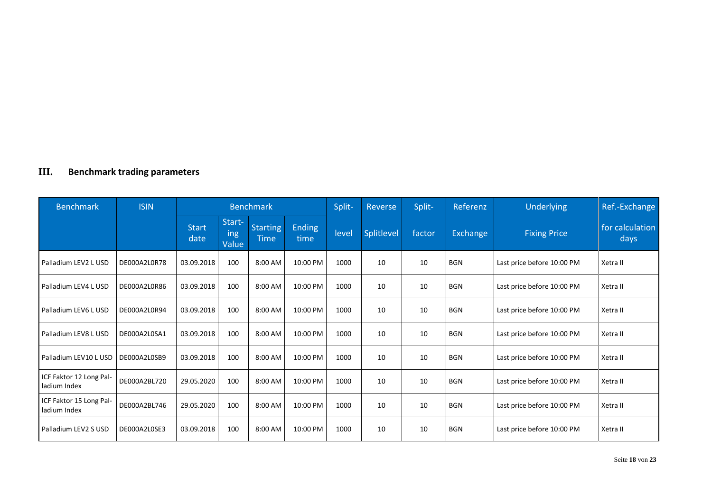## <span id="page-17-0"></span>**III. Benchmark trading parameters**

| <b>Benchmark</b>                        | <b>ISIN</b>  | <b>Benchmark</b>     |                        |                                |                | Split- | Reverse    | Split- | Referenz   | Underlying                 | Ref.-Exchange           |
|-----------------------------------------|--------------|----------------------|------------------------|--------------------------------|----------------|--------|------------|--------|------------|----------------------------|-------------------------|
|                                         |              | <b>Start</b><br>date | Start-<br>ing<br>Value | <b>Starting</b><br><b>Time</b> | Ending<br>time | level  | Splitlevel | factor | Exchange   | <b>Fixing Price</b>        | for calculation<br>days |
| Palladium LEV2 L USD                    | DE000A2L0R78 | 03.09.2018           | 100                    | 8:00 AM                        | 10:00 PM       | 1000   | 10         | 10     | <b>BGN</b> | Last price before 10:00 PM | Xetra II                |
| Palladium LEV4 L USD                    | DE000A2L0R86 | 03.09.2018           | 100                    | 8:00 AM                        | 10:00 PM       | 1000   | 10         | 10     | BGN        | Last price before 10:00 PM | Xetra II                |
| Palladium LEV6 L USD                    | DE000A2L0R94 | 03.09.2018           | 100                    | 8:00 AM                        | 10:00 PM       | 1000   | 10         | 10     | <b>BGN</b> | Last price before 10:00 PM | Xetra II                |
| Palladium LEV8 L USD                    | DE000A2L0SA1 | 03.09.2018           | 100                    | 8:00 AM                        | 10:00 PM       | 1000   | 10         | 10     | <b>BGN</b> | Last price before 10:00 PM | Xetra II                |
| Palladium LEV10 L USD                   | DE000A2L0SB9 | 03.09.2018           | 100                    | 8:00 AM                        | 10:00 PM       | 1000   | 10         | 10     | <b>BGN</b> | Last price before 10:00 PM | Xetra II                |
| ICF Faktor 12 Long Pal-<br>ladium Index | DE000A2BL720 | 29.05.2020           | 100                    | 8:00 AM                        | 10:00 PM       | 1000   | 10         | 10     | <b>BGN</b> | Last price before 10:00 PM | Xetra II                |
| ICF Faktor 15 Long Pal-<br>ladium Index | DE000A2BL746 | 29.05.2020           | 100                    | 8:00 AM                        | 10:00 PM       | 1000   | 10         | 10     | <b>BGN</b> | Last price before 10:00 PM | Xetra II                |
| Palladium LEV2 S USD                    | DE000A2L0SE3 | 03.09.2018           | 100                    | 8:00 AM                        | 10:00 PM       | 1000   | 10         | 10     | <b>BGN</b> | Last price before 10:00 PM | Xetra II                |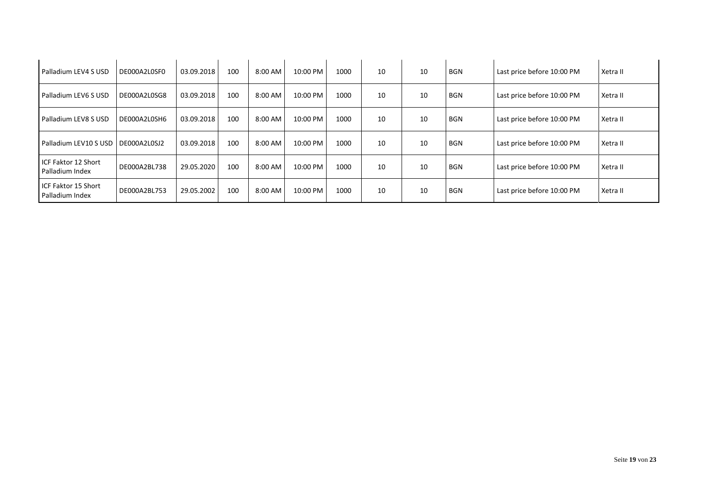| Palladium LEV4 S USD                     | DE000A2L0SF0 | 03.09.2018 | 100 | $8:00$ AM | 10:00 PM | 1000 | 10 | 10 | BGN        | Last price before 10:00 PM | Xetra II |
|------------------------------------------|--------------|------------|-----|-----------|----------|------|----|----|------------|----------------------------|----------|
| Palladium LEV6 S USD                     | DE000A2L0SG8 | 03.09.2018 | 100 | 8:00 AM   | 10:00 PM | 1000 | 10 | 10 | <b>BGN</b> | Last price before 10:00 PM | Xetra II |
| Palladium LEV8 S USD                     | DE000A2L0SH6 | 03.09.2018 | 100 | 8:00 AM   | 10:00 PM | 1000 | 10 | 10 | <b>BGN</b> | Last price before 10:00 PM | Xetra II |
| Palladium LEV10 S USD   DE000A2L0SJ2     |              | 03.09.2018 | 100 | $8:00$ AM | 10:00 PM | 1000 | 10 | 10 | <b>BGN</b> | Last price before 10:00 PM | Xetra II |
| I ICF Faktor 12 Short<br>Palladium Index | DE000A2BL738 | 29.05.2020 | 100 | 8:00 AM   | 10:00 PM | 1000 | 10 | 10 | <b>BGN</b> | Last price before 10:00 PM | Xetra II |
| I ICF Faktor 15 Short<br>Palladium Index | DE000A2BL753 | 29.05.2002 | 100 | 8:00 AM   | 10:00 PM | 1000 | 10 | 10 | BGN        | Last price before 10:00 PM | Xetra II |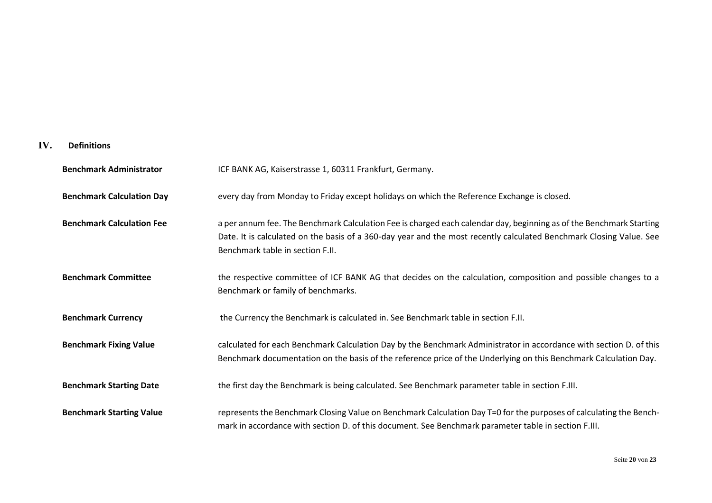### <span id="page-19-0"></span>**IV. Definitions**

| <b>Benchmark Administrator</b>   | ICF BANK AG, Kaiserstrasse 1, 60311 Frankfurt, Germany.                                                                                                                                                                                                                        |
|----------------------------------|--------------------------------------------------------------------------------------------------------------------------------------------------------------------------------------------------------------------------------------------------------------------------------|
| <b>Benchmark Calculation Day</b> | every day from Monday to Friday except holidays on which the Reference Exchange is closed.                                                                                                                                                                                     |
| <b>Benchmark Calculation Fee</b> | a per annum fee. The Benchmark Calculation Fee is charged each calendar day, beginning as of the Benchmark Starting<br>Date. It is calculated on the basis of a 360-day year and the most recently calculated Benchmark Closing Value. See<br>Benchmark table in section F.II. |
| <b>Benchmark Committee</b>       | the respective committee of ICF BANK AG that decides on the calculation, composition and possible changes to a<br>Benchmark or family of benchmarks.                                                                                                                           |
| <b>Benchmark Currency</b>        | the Currency the Benchmark is calculated in. See Benchmark table in section F.II.                                                                                                                                                                                              |
| <b>Benchmark Fixing Value</b>    | calculated for each Benchmark Calculation Day by the Benchmark Administrator in accordance with section D. of this<br>Benchmark documentation on the basis of the reference price of the Underlying on this Benchmark Calculation Day.                                         |
| <b>Benchmark Starting Date</b>   | the first day the Benchmark is being calculated. See Benchmark parameter table in section F.III.                                                                                                                                                                               |
| <b>Benchmark Starting Value</b>  | represents the Benchmark Closing Value on Benchmark Calculation Day T=0 for the purposes of calculating the Bench-<br>mark in accordance with section D. of this document. See Benchmark parameter table in section F.III.                                                     |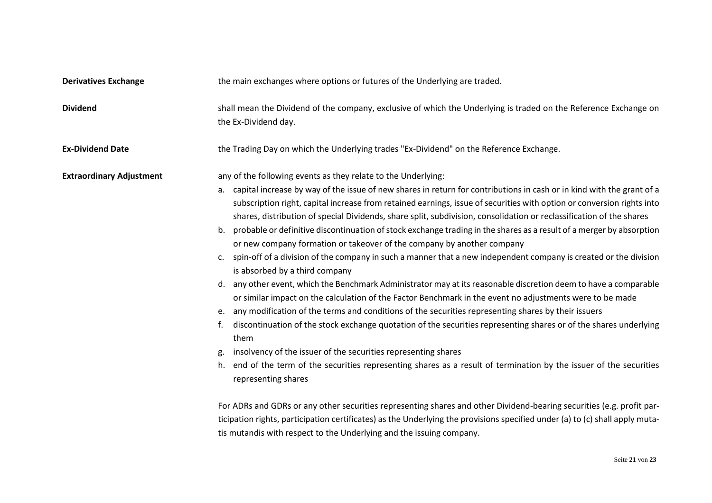tis mutandis with respect to the Underlying and the issuing company.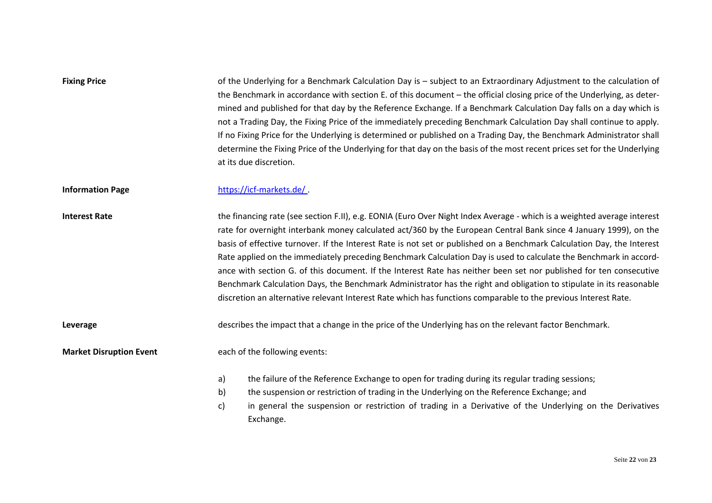| <b>Fixing Price</b>            | of the Underlying for a Benchmark Calculation Day is – subject to an Extraordinary Adjustment to the calculation of<br>the Benchmark in accordance with section E. of this document – the official closing price of the Underlying, as deter-<br>mined and published for that day by the Reference Exchange. If a Benchmark Calculation Day falls on a day which is<br>not a Trading Day, the Fixing Price of the immediately preceding Benchmark Calculation Day shall continue to apply.<br>If no Fixing Price for the Underlying is determined or published on a Trading Day, the Benchmark Administrator shall<br>determine the Fixing Price of the Underlying for that day on the basis of the most recent prices set for the Underlying<br>at its due discretion.                                                                                   |  |  |  |  |  |  |
|--------------------------------|-----------------------------------------------------------------------------------------------------------------------------------------------------------------------------------------------------------------------------------------------------------------------------------------------------------------------------------------------------------------------------------------------------------------------------------------------------------------------------------------------------------------------------------------------------------------------------------------------------------------------------------------------------------------------------------------------------------------------------------------------------------------------------------------------------------------------------------------------------------|--|--|--|--|--|--|
| <b>Information Page</b>        | https://icf-markets.de/                                                                                                                                                                                                                                                                                                                                                                                                                                                                                                                                                                                                                                                                                                                                                                                                                                   |  |  |  |  |  |  |
| <b>Interest Rate</b>           | the financing rate (see section F.II), e.g. EONIA (Euro Over Night Index Average - which is a weighted average interest<br>rate for overnight interbank money calculated act/360 by the European Central Bank since 4 January 1999), on the<br>basis of effective turnover. If the Interest Rate is not set or published on a Benchmark Calculation Day, the Interest<br>Rate applied on the immediately preceding Benchmark Calculation Day is used to calculate the Benchmark in accord-<br>ance with section G. of this document. If the Interest Rate has neither been set nor published for ten consecutive<br>Benchmark Calculation Days, the Benchmark Administrator has the right and obligation to stipulate in its reasonable<br>discretion an alternative relevant Interest Rate which has functions comparable to the previous Interest Rate. |  |  |  |  |  |  |
| Leverage                       | describes the impact that a change in the price of the Underlying has on the relevant factor Benchmark.                                                                                                                                                                                                                                                                                                                                                                                                                                                                                                                                                                                                                                                                                                                                                   |  |  |  |  |  |  |
| <b>Market Disruption Event</b> | each of the following events:                                                                                                                                                                                                                                                                                                                                                                                                                                                                                                                                                                                                                                                                                                                                                                                                                             |  |  |  |  |  |  |
|                                | the failure of the Reference Exchange to open for trading during its regular trading sessions;<br>a)<br>b)<br>the suspension or restriction of trading in the Underlying on the Reference Exchange; and<br>c)<br>in general the suspension or restriction of trading in a Derivative of the Underlying on the Derivatives<br>Exchange.                                                                                                                                                                                                                                                                                                                                                                                                                                                                                                                    |  |  |  |  |  |  |